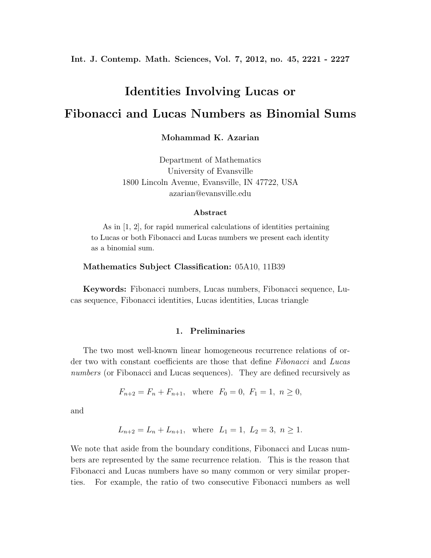**Int. J. Contemp. Math. Sciences, Vol. 7, 2012, no. 45, 2221 - 2227**

# **Identities Involving Lucas or Fibonacci and Lucas Numbers as Binomial Sums**

**Mohammad K. Azarian**

Department of Mathematics University of Evansville 1800 Lincoln Avenue, Evansville, IN 47722, USA azarian@evansville.edu

#### **Abstract**

As in [1, 2], for rapid numerical calculations of identities pertaining to Lucas or both Fibonacci and Lucas numbers we present each identity as a binomial sum.

## **Mathematics Subject Classification:** 05A10, 11B39

**Keywords:** Fibonacci numbers, Lucas numbers, Fibonacci sequence, Lucas sequence, Fibonacci identities, Lucas identities, Lucas triangle

#### **1. Preliminaries**

The two most well-known linear homogeneous recurrence relations of order two with constant coefficients are those that define *Fibonacci* and *Lucas numbers* (or Fibonacci and Lucas sequences). They are defined recursively as

$$
F_{n+2} = F_n + F_{n+1}
$$
, where  $F_0 = 0$ ,  $F_1 = 1$ ,  $n \ge 0$ ,

and

$$
L_{n+2} = L_n + L_{n+1}
$$
, where  $L_1 = 1$ ,  $L_2 = 3$ ,  $n \ge 1$ .

We note that aside from the boundary conditions, Fibonacci and Lucas numbers are represented by the same recurrence relation. This is the reason that Fibonacci and Lucas numbers have so many common or very similar properties. For example, the ratio of two consecutive Fibonacci numbers as well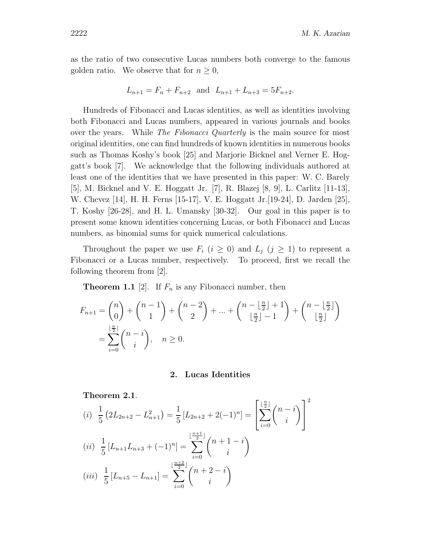as the ratio of two consecutive Lucas numbers both converge to the famous golden ratio. We observe that for  $n \geq 0$ ,

$$
L_{n+1} = F_n + F_{n+2} \text{ and } L_{n+1} + L_{n+3} = 5F_{n+2}.
$$

Hundreds of Fibonacci and Lucas identities, as well as identities involving both Fibonacci and Lucas numbers, appeared in various journals and books over the years. While *The Fibonacci Quarterly* is the main source for most original identities, one can find hundreds of known identities in numerous books such as Thomas Koshy's book [25] and Marjorie Bicknel and Verner E. Hoggatt's book [7]. We acknowledge that the following individuals authored at least one of the identities that we have presented in this paper: W. C. Barely [5], M. Bicknel and V. E. Hoggatt Jr. [7], R. Blazej [8, 9], L. Carlitz [11-13], W. Chevez [14], H. H. Ferns [15-17], V. E. Hoggatt Jr.[19-24], D. Jarden [25], T. Koshy [26-28], and H. L. Umansky [30-32]. Our goal in this paper is to present some known identities concerning Lucas, or both Fibonacci and Lucas numbers, as binomial sums for quick numerical calculations.

Throughout the paper we use  $F_i$  ( $i \geq 0$ ) and  $L_j$  ( $j \geq 1$ ) to represent a Fibonacci or a Lucas number, respectively. To proceed, first we recall the following theorem from [2].

**Theorem 1.1** [2]. If  $F_n$  is any Fibonacci number, then

$$
F_{n+1} = \binom{n}{0} + \binom{n-1}{1} + \binom{n-2}{2} + \dots + \binom{n - \lfloor \frac{n}{2} \rfloor + 1}{\lfloor \frac{n}{2} \rfloor - 1} + \binom{n - \lfloor \frac{n}{2} \rfloor}{\lfloor \frac{n}{2} \rfloor}
$$
  
= 
$$
\sum_{i=0}^{\lfloor \frac{n}{2} \rfloor} \binom{n-i}{i}, \quad n \ge 0.
$$

#### **2. Lucas Identities**

**Theorem 2.1**.

(i) 
$$
\frac{1}{5} (2L_{2n+2} - L_{n+1}^2) = \frac{1}{5} [L_{2n+2} + 2(-1)^n] = \left[ \sum_{i=0}^{\lfloor \frac{n}{2} \rfloor} {n-i} \binom{n-i}{i} \right]^2
$$
  
(ii) 
$$
\frac{1}{5} [L_{n+1} L_{n+3} + (-1)^n] = \sum_{i=0}^{\lfloor \frac{n+1}{2} \rfloor} {n+1-i} \binom{n+1-i}{i}
$$
  
(iii) 
$$
\frac{1}{5} [L_{n+5} - L_{n+1}] = \sum_{i=0}^{\lfloor \frac{n+2}{2} \rfloor} {n+2-i} \binom{n+2-i}{i}
$$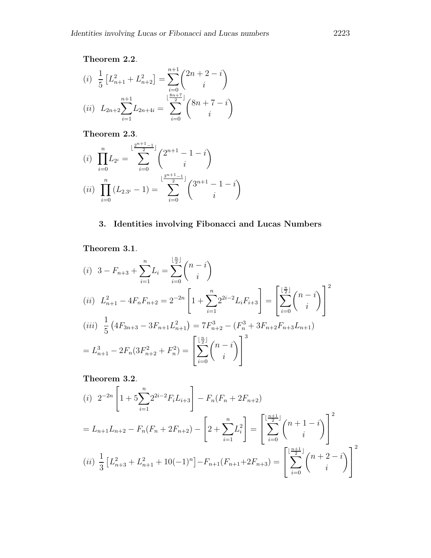## **Theorem 2.2**.

(i) 
$$
\frac{1}{5} \left[ L_{n+1}^2 + L_{n+2}^2 \right] = \sum_{i=0}^{n+1} {2n+2-i \choose i}
$$
  
(ii) 
$$
L_{2n+2} \sum_{i=1}^{n+1} L_{2n+4i} = \sum_{i=0}^{\lfloor \frac{8n+7}{2} \rfloor} {8n+7-i \choose i}
$$

**Theorem 2.3**.

$$
(i) \prod_{i=0}^{n} L_{2^{i}} = \sum_{i=0}^{\lfloor \frac{2^{n+1}-1}{2} \rfloor} {2^{n+1}-1-i \choose i}
$$

$$
(ii) \prod_{i=0}^{n} (L_{2,3^{i}}-1) = \sum_{i=0}^{\lfloor \frac{3^{n+1}-1}{2} \rfloor} {3^{n+1}-1-i \choose i}
$$

# **3. Identities involving Fibonacci and Lucas Numbers**

**Theorem 3.1**.

$$
(i) \quad 3 - F_{n+3} + \sum_{i=1}^{n} L_i = \sum_{i=0}^{\lfloor \frac{n}{2} \rfloor} {n-i \choose i}
$$
\n
$$
(ii) \quad L_{n+1}^2 - 4F_nF_{n+2} = 2^{-2n} \left[ 1 + \sum_{i=1}^{n} 2^{2i-2} L_iF_{i+3} \right] = \left[ \sum_{i=0}^{\lfloor \frac{n}{2} \rfloor} {n-i \choose i} \right]^2
$$
\n
$$
(iii) \quad \frac{1}{5} \left( 4F_{3n+3} - 3F_{n+1}L_{n+1}^2 \right) = 7F_{n+2}^3 - (F_n^3 + 3F_{n+2}F_{n+3}L_{n+1})
$$
\n
$$
= L_{n+1}^3 - 2F_n(3F_{n+2}^2 + F_n^2) = \left[ \sum_{i=0}^{\lfloor \frac{n}{2} \rfloor} {n-i \choose i} \right]^3
$$

**Theorem 3.2**.

(i) 
$$
2^{-2n} \left[ 1 + 5 \sum_{i=1}^{n} 2^{2i-2} F_i L_{i+3} \right] - F_n (F_n + 2F_{n+2})
$$
  
\n
$$
= L_{n+1} L_{n+2} - F_n (F_n + 2F_{n+2}) - \left[ 2 + \sum_{i=1}^{n} L_i^2 \right] = \left[ \sum_{i=0}^{\lfloor \frac{n+1}{2} \rfloor} {n+1-i \choose i} \right]^2
$$
\n(ii)  $\frac{1}{3} \left[ L_{n+3}^2 + L_{n+1}^2 + 10(-1)^n \right] - F_{n+1} (F_{n+1} + 2F_{n+3}) = \left[ \sum_{i=0}^{\lfloor \frac{n+1}{2} \rfloor} {n+2-i \choose i} \right]^2$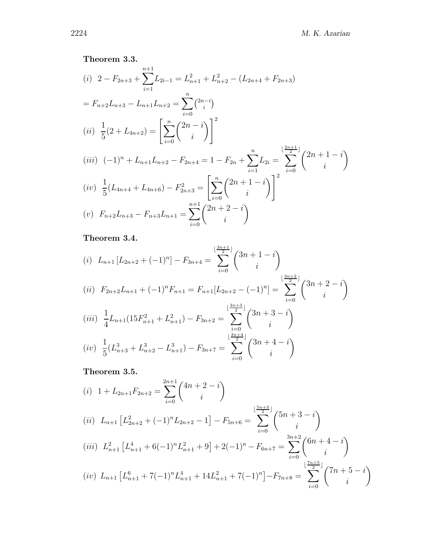# **Theorem 3.3.**

(i) 
$$
2 - F_{2n+3} + \sum_{i=1}^{n+1} L_{2i-1} = L_{n+1}^2 + L_{n+2}^2 - (L_{2n+4} + F_{2n+3})
$$
  
\n
$$
= F_{n+2}L_{n+3} - L_{n+1}L_{n+2} = \sum_{i=0}^n \binom{2n-i}{i}
$$
\n(ii)  $\frac{1}{5}(2 + L_{4n+2}) = \left[\sum_{i=0}^n \binom{2n-i}{i}\right]^2$   
\n(iii)  $(-1)^n + L_{n+1}L_{n+2} - F_{2n+4} = 1 - F_{2n} + \sum_{i=1}^n L_{2i} = \sum_{i=0}^{\lfloor \frac{2n+1}{2} \rfloor} \binom{2n+1-i}{i}$   
\n(iv)  $\frac{1}{5}(L_{4n+4} + L_{4n+6}) - F_{2n+3}^2 = \left[\sum_{i=0}^n \binom{2n+1-i}{i}\right]^2$   
\n(v)  $F_{n+2}L_{n+3} - F_{n+3}L_{n+1} = \sum_{i=1}^{n+1} \binom{2n+2-i}{i}$ 

*i*

**Theorem 3.4.**

$$
(i) \ L_{n+1} [L_{2n+2} + (-1)^n] - F_{3n+4} = \sum_{i=0}^{\lfloor \frac{3n+1}{2} \rfloor} {3n+1-i \choose i}
$$
  
\n
$$
(ii) \ F_{2n+2} L_{n+1} + (-1)^n F_{n+1} = F_{n+1} [L_{2n+2} - (-1)^n] = \sum_{i=0}^{\lfloor \frac{3n+2}{2} \rfloor} {3n+2-i \choose i}
$$
  
\n
$$
(iii) \ \frac{1}{4} L_{n+1} (15F_{n+1}^2 + L_{n+1}^2) - F_{3n+2} = \sum_{i=0}^{\lfloor \frac{3n+3}{2} \rfloor} {3n+3-i \choose i}
$$
  
\n
$$
(iv) \ \frac{1}{5} (L_{n+3}^3 + L_{n+2}^3 - L_{n+1}^3) - F_{3n+7} = \sum_{i=0}^{\lfloor \frac{3n+4}{2} \rfloor} {3n+4-i \choose i}
$$

*i*=0

**Theorem 3.5.**

$$
(i) \quad 1 + L_{2n+1}F_{2n+2} = \sum_{i=0}^{2n+1} {4n+2-i \choose i}
$$
\n
$$
(ii) \quad L_{n+1} \left[ L_{2n+2}^2 + (-1)^n L_{2n+2} - 1 \right] - F_{5n+6} = \sum_{i=0}^{\lfloor \frac{5n+3}{2} \rfloor} {5n+3-i \choose i}
$$
\n
$$
(iii) \quad L_{n+1}^2 \left[ L_{n+1}^4 + 6(-1)^n L_{n+1}^2 + 9 \right] + 2(-1)^n - F_{6n+7} = \sum_{i=0}^{3n+2} {6n+4-i \choose i}
$$
\n
$$
(iv) \quad L_{n+1} \left[ L_{n+1}^6 + 7(-1)^n L_{n+1}^4 + 14L_{n+1}^2 + 7(-1)^n \right] - F_{7n+8} = \sum_{i=0}^{\lfloor \frac{7n+5}{2} \rfloor} {7n+5-i \choose i}
$$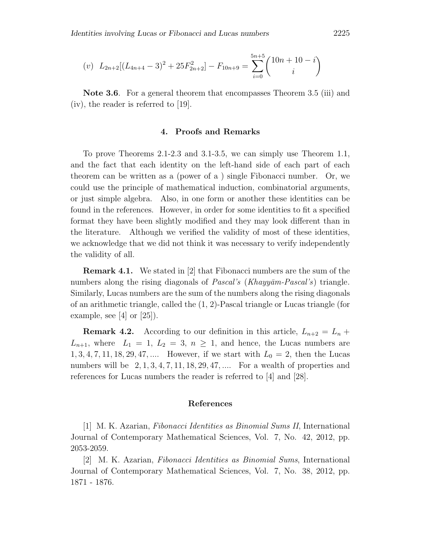$$
(v) \ L_{2n+2}[(L_{4n+4}-3)^2+25F_{2n+2}^2]-F_{10n+9}=\sum_{i=0}^{5n+5} {10n+10-i \choose i}
$$

**Note 3.6**. For a general theorem that encompasses Theorem 3.5 (iii) and (iv), the reader is referred to [19].

## **4. Proofs and Remarks**

To prove Theorems 2.1-2.3 and 3.1-3.5, we can simply use Theorem 1.1, and the fact that each identity on the left-hand side of each part of each theorem can be written as a (power of a ) single Fibonacci number. Or, we could use the principle of mathematical induction, combinatorial arguments, or just simple algebra. Also, in one form or another these identities can be found in the references. However, in order for some identities to fit a specified format they have been slightly modified and they may look different than in the literature. Although we verified the validity of most of these identities, we acknowledge that we did not think it was necessary to verify independently the validity of all.

**Remark 4.1.** We stated in [2] that Fibonacci numbers are the sum of the numbers along the rising diagonals of *Pascal's* (*Khayyām-Pascal's*) triangle. Similarly, Lucas numbers are the sum of the numbers along the rising diagonals of an arithmetic triangle, called the (1*,* 2)-Pascal triangle or Lucas triangle (for example, see [4] or  $[25]$ .

**Remark 4.2.** According to our definition in this article,  $L_{n+2} = L_n +$  $L_{n+1}$ , where  $L_1 = 1$ ,  $L_2 = 3$ ,  $n \geq 1$ , and hence, the Lucas numbers are  $1, 3, 4, 7, 11, 18, 29, 47, \dots$  However, if we start with  $L_0 = 2$ , then the Lucas numbers will be 2*,* 1*,* 3*,* 4*,* 7*,* 11*,* 18*,* 29*,* 47*, ...*. For a wealth of properties and references for Lucas numbers the reader is referred to [4] and [28].

### **References**

[1] M. K. Azarian, *Fibonacci Identities as Binomial Sums II*, International Journal of Contemporary Mathematical Sciences, Vol. 7, No. 42, 2012, pp. 2053-2059.

[2] M. K. Azarian, *Fibonacci Identities as Binomial Sums*, International Journal of Contemporary Mathematical Sciences, Vol. 7, No. 38, 2012, pp. 1871 - 1876.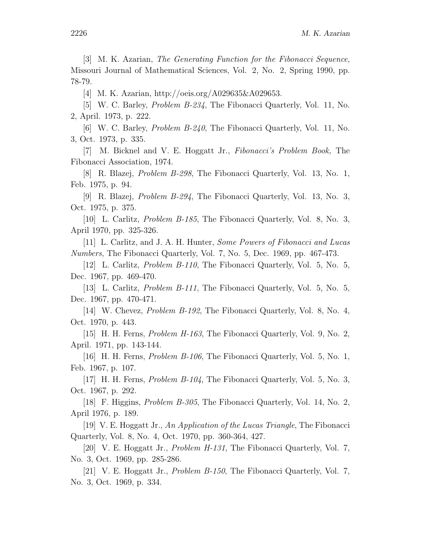[3] M. K. Azarian, *The Generating Function for the Fibonacci Sequence*, Missouri Journal of Mathematical Sciences, Vol. 2, No. 2, Spring 1990, pp. 78-79.

[4] M. K. Azarian, http://oeis.org/A029635&A029653.

[5] W. C. Barley, *Problem B-234*, The Fibonacci Quarterly, Vol. 11, No. 2, April. 1973, p. 222.

[6] W. C. Barley, *Problem B-240*, The Fibonacci Quarterly, Vol. 11, No. 3, Oct. 1973, p. 335.

[7] M. Bicknel and V. E. Hoggatt Jr., *Fibonacci's Problem Book,* The Fibonacci Association, 1974.

[8] R. Blazej, *Problem B-298*, The Fibonacci Quarterly, Vol. 13, No. 1, Feb. 1975, p. 94.

[9] R. Blazej, *Problem B-294*, The Fibonacci Quarterly, Vol. 13, No. 3, Oct. 1975, p. 375.

[10] L. Carlitz, *Problem B-185*, The Fibonacci Quarterly, Vol. 8, No. 3, April 1970, pp. 325-326.

[11] L. Carlitz, and J. A. H. Hunter, *Some Powers of Fibonacci and Lucas Numbers*, The Fibonacci Quarterly, Vol. 7, No. 5, Dec. 1969, pp. 467-473.

[12] L. Carlitz, *Problem B-110*, The Fibonacci Quarterly, Vol. 5, No. 5, Dec. 1967, pp. 469-470.

[13] L. Carlitz, *Problem B-111*, The Fibonacci Quarterly, Vol. 5, No. 5, Dec. 1967, pp. 470-471.

[14] W. Chevez, *Problem B-192*, The Fibonacci Quarterly, Vol. 8, No. 4, Oct. 1970, p. 443.

[15] H. H. Ferns, *Problem H-163*, The Fibonacci Quarterly, Vol. 9, No. 2, April. 1971, pp. 143-144.

[16] H. H. Ferns, *Problem B-106*, The Fibonacci Quarterly, Vol. 5, No. 1, Feb. 1967, p. 107.

[17] H. H. Ferns, *Problem B-104*, The Fibonacci Quarterly, Vol. 5, No. 3, Oct. 1967, p. 292.

[18] F. Higgins, *Problem B-305*, The Fibonacci Quarterly, Vol. 14, No. 2, April 1976, p. 189.

[19] V. E. Hoggatt Jr., *An Application of the Lucas Triangle*, The Fibonacci Quarterly, Vol. 8, No. 4, Oct. 1970, pp. 360-364, 427.

[20] V. E. Hoggatt Jr., *Problem H-131*, The Fibonacci Quarterly, Vol. 7, No. 3, Oct. 1969, pp. 285-286.

[21] V. E. Hoggatt Jr., *Problem B-150*, The Fibonacci Quarterly, Vol. 7, No. 3, Oct. 1969, p. 334.